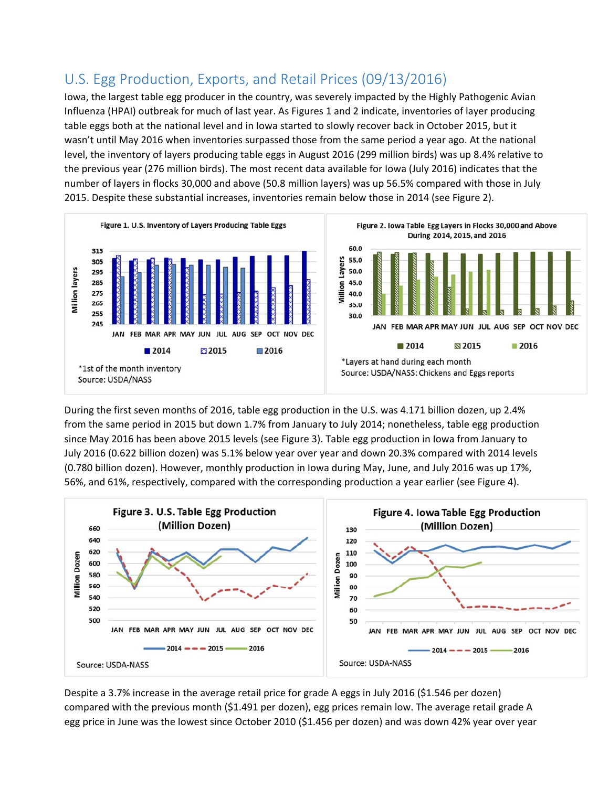## U.S. Egg Production, Exports, and Retail Prices (09/13/2016)

Iowa, the largest table egg producer in the country, was severely impacted by the Highly Pathogenic Avian Influenza (HPAI) outbreak for much of last year. As Figures 1 and 2 indicate, inventories of layer producing table eggs both at the national level and in Iowa started to slowly recover back in October 2015, but it wasn't until May 2016 when inventories surpassed those from the same period a year ago. At the national level, the inventory of layers producing table eggs in August 2016 (299 million birds) was up 8.4% relative to the previous year (276 million birds). The most recent data available for Iowa (July 2016) indicates that the number of layers in flocks 30,000 and above (50.8 million layers) was up 56.5% compared with those in July 2015. Despite these substantial increases, inventories remain below those in 2014 (see Figure 2).



During the first seven months of 2016, table egg production in the U.S. was 4.171 billion dozen, up 2.4% from the same period in 2015 but down 1.7% from January to July 2014; nonetheless, table egg production since May 2016 has been above 2015 levels (see Figure 3). Table egg production in Iowa from January to July 2016 (0.622 billion dozen) was 5.1% below year over year and down 20.3% compared with 2014 levels (0.780 billion dozen). However, monthly production in Iowa during May, June, and July 2016 was up 17%, 56%, and 61%, respectively, compared with the corresponding production a year earlier (see Figure 4).



Despite a 3.7% increase in the average retail price for grade A eggs in July 2016 (\$1.546 per dozen) compared with the previous month (\$1.491 per dozen), egg prices remain low. The average retail grade A egg price in June was the lowest since October 2010 (\$1.456 per dozen) and was down 42% year over year